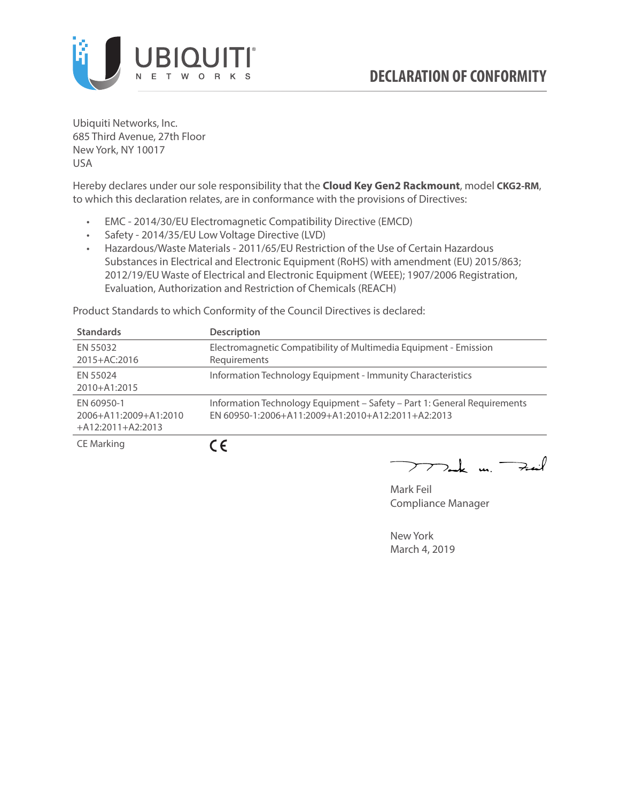

Ubiquiti Networks, Inc. 685 Third Avenue, 27th Floor New York, NY 10017 USA

Hereby declares under our sole responsibility that the **Cloud Key Gen2 Rackmount**, model **CKG2-RM**, to which this declaration relates, are in conformance with the provisions of Directives:

- EMC 2014/30/EU Electromagnetic Compatibility Directive (EMCD)
- Safety 2014/35/EU Low Voltage Directive (LVD)
- Hazardous/Waste Materials 2011/65/EU Restriction of the Use of Certain Hazardous Substances in Electrical and Electronic Equipment (RoHS) with amendment (EU) 2015/863; 2012/19/EU Waste of Electrical and Electronic Equipment (WEEE); 1907/2006 Registration, Evaluation, Authorization and Restriction of Chemicals (REACH)

Product Standards to which Conformity of the Council Directives is declared:

| <b>Standards</b>                                           | <b>Description</b>                                                                                                            |
|------------------------------------------------------------|-------------------------------------------------------------------------------------------------------------------------------|
| EN 55032<br>2015+AC:2016                                   | Electromagnetic Compatibility of Multimedia Equipment - Emission<br>Requirements                                              |
| EN 55024<br>2010+A1:2015                                   | Information Technology Equipment - Immunity Characteristics                                                                   |
| EN 60950-1<br>2006+A11:2009+A1:2010<br>$+A12:2011+A2:2013$ | Information Technology Equipment - Safety - Part 1: General Requirements<br>EN 60950-1:2006+A11:2009+A1:2010+A12:2011+A2:2013 |
| <b>CE Marking</b>                                          | C E                                                                                                                           |

 $\nabla$ ak m $\rightarrow$ 

Mark Feil Compliance Manager

New York March 4, 2019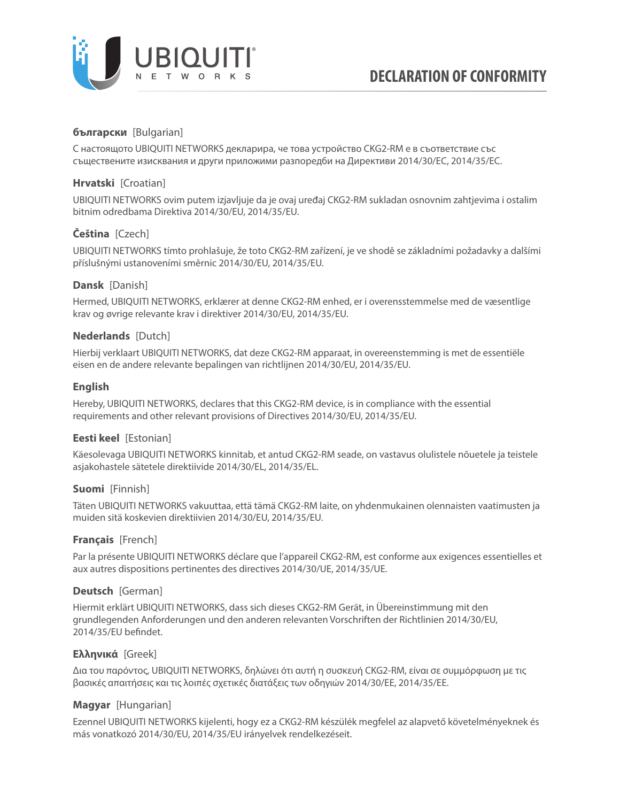

# **български** [Bulgarian]

С настоящото UBIQUITI NETWORKS декларира, че това устройство CKG2-RM е в съответствие със съществените изисквания и други приложими разпоредби на Директиви 2014/30/ЕС, 2014/35/ЕС.

## **Hrvatski** [Croatian]

UBIQUITI NETWORKS ovim putem izjavljuje da je ovaj uređaj CKG2-RM sukladan osnovnim zahtjevima i ostalim bitnim odredbama Direktiva 2014/30/EU, 2014/35/EU.

# **Čeština** [Czech]

UBIQUITI NETWORKS tímto prohlašuje, že toto CKG2-RM zařízení, je ve shodě se základními požadavky a dalšími příslušnými ustanoveními směrnic 2014/30/EU, 2014/35/EU.

### **Dansk** [Danish]

Hermed, UBIQUITI NETWORKS, erklærer at denne CKG2-RM enhed, er i overensstemmelse med de væsentlige krav og øvrige relevante krav i direktiver 2014/30/EU, 2014/35/EU.

### **Nederlands** [Dutch]

Hierbij verklaart UBIQUITI NETWORKS, dat deze CKG2-RM apparaat, in overeenstemming is met de essentiële eisen en de andere relevante bepalingen van richtlijnen 2014/30/EU, 2014/35/EU.

### **English**

Hereby, UBIQUITI NETWORKS, declares that this CKG2-RM device, is in compliance with the essential requirements and other relevant provisions of Directives 2014/30/EU, 2014/35/EU.

## **Eesti keel** [Estonian]

Käesolevaga UBIQUITI NETWORKS kinnitab, et antud CKG2-RM seade, on vastavus olulistele nõuetele ja teistele asjakohastele sätetele direktiivide 2014/30/EL, 2014/35/EL.

## **Suomi** [Finnish]

Täten UBIQUITI NETWORKS vakuuttaa, että tämä CKG2-RM laite, on yhdenmukainen olennaisten vaatimusten ja muiden sitä koskevien direktiivien 2014/30/EU, 2014/35/EU.

## **Français** [French]

Par la présente UBIQUITI NETWORKS déclare que l'appareil CKG2-RM, est conforme aux exigences essentielles et aux autres dispositions pertinentes des directives 2014/30/UE, 2014/35/UE.

## **Deutsch** [German]

Hiermit erklärt UBIQUITI NETWORKS, dass sich dieses CKG2-RM Gerät, in Übereinstimmung mit den grundlegenden Anforderungen und den anderen relevanten Vorschriften der Richtlinien 2014/30/EU, 2014/35/EU befindet.

## **Ελληνικά** [Greek]

Δια του παρόντος, UBIQUITI NETWORKS, δηλώνει ότι αυτή η συσκευή CKG2-RM, είναι σε συμμόρφωση με τις βασικές απαιτήσεις και τις λοιπές σχετικές διατάξεις των οδηγιών 2014/30/EE, 2014/35/EE.

## **Magyar** [Hungarian]

Ezennel UBIQUITI NETWORKS kijelenti, hogy ez a CKG2-RM készülék megfelel az alapvető követelményeknek és más vonatkozó 2014/30/EU, 2014/35/EU irányelvek rendelkezéseit.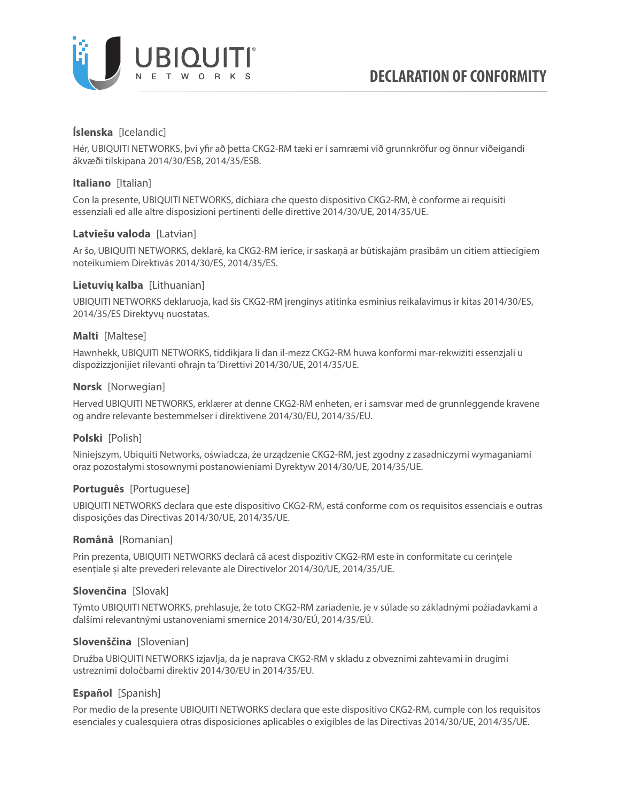

## **Íslenska** [Icelandic]

Hér, UBIQUITI NETWORKS, því yfir að þetta CKG2-RM tæki er í samræmi við grunnkröfur og önnur viðeigandi ákvæði tilskipana 2014/30/ESB, 2014/35/ESB.

### **Italiano** [Italian]

Con la presente, UBIQUITI NETWORKS, dichiara che questo dispositivo CKG2-RM, è conforme ai requisiti essenziali ed alle altre disposizioni pertinenti delle direttive 2014/30/UE, 2014/35/UE.

### **Latviešu valoda** [Latvian]

Ar šo, UBIQUITI NETWORKS, deklarē, ka CKG2-RM ierīce, ir saskaņā ar būtiskajām prasībām un citiem attiecīgiem noteikumiem Direktīvās 2014/30/ES, 2014/35/ES.

### **Lietuvių kalba** [Lithuanian]

UBIQUITI NETWORKS deklaruoja, kad šis CKG2-RM įrenginys atitinka esminius reikalavimus ir kitas 2014/30/ES, 2014/35/ES Direktyvų nuostatas.

#### **Malti** [Maltese]

Hawnhekk, UBIQUITI NETWORKS, tiddikjara li dan il-mezz CKG2-RM huwa konformi mar-rekwiżiti essenzjali u dispożizzjonijiet rilevanti oħrajn ta 'Direttivi 2014/30/UE, 2014/35/UE.

### **Norsk** [Norwegian]

Herved UBIQUITI NETWORKS, erklærer at denne CKG2-RM enheten, er i samsvar med de grunnleggende kravene og andre relevante bestemmelser i direktivene 2014/30/EU, 2014/35/EU.

## **Polski** [Polish]

Niniejszym, Ubiquiti Networks, oświadcza, że urządzenie CKG2-RM, jest zgodny z zasadniczymi wymaganiami oraz pozostałymi stosownymi postanowieniami Dyrektyw 2014/30/UE, 2014/35/UE.

#### **Português** [Portuguese]

UBIQUITI NETWORKS declara que este dispositivo CKG2-RM, está conforme com os requisitos essenciais e outras disposições das Directivas 2014/30/UE, 2014/35/UE.

#### **Română** [Romanian]

Prin prezenta, UBIQUITI NETWORKS declară că acest dispozitiv CKG2-RM este în conformitate cu cerințele esențiale și alte prevederi relevante ale Directivelor 2014/30/UE, 2014/35/UE.

## **Slovenčina** [Slovak]

Týmto UBIQUITI NETWORKS, prehlasuje, že toto CKG2-RM zariadenie, je v súlade so základnými požiadavkami a ďalšími relevantnými ustanoveniami smernice 2014/30/EÚ, 2014/35/EÚ.

#### **Slovenščina** [Slovenian]

Družba UBIQUITI NETWORKS izjavlja, da je naprava CKG2-RM v skladu z obveznimi zahtevami in drugimi ustreznimi določbami direktiv 2014/30/EU in 2014/35/EU.

## **Español** [Spanish]

Por medio de la presente UBIQUITI NETWORKS declara que este dispositivo CKG2-RM, cumple con los requisitos esenciales y cualesquiera otras disposiciones aplicables o exigibles de las Directivas 2014/30/UE, 2014/35/UE.